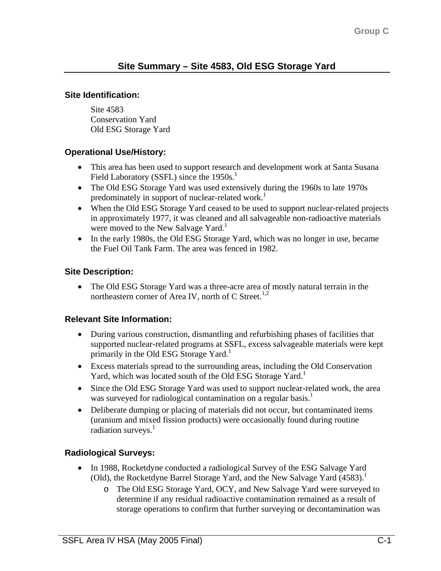#### **Site Identification:**

Site 4583 Conservation Yard Old ESG Storage Yard

## **Operational Use/History:**

- This area has been used to support research and development work at Santa Susana Field Laboratory (SSFL) since the  $1950s<sup>1</sup>$ .
- The Old ESG Storage Yard was used extensively during the 1960s to late 1970s predominately in support of nuclear-related work.<sup>1</sup>
- When the Old ESG Storage Yard ceased to be used to support nuclear-related projects in approximately 1977, it was cleaned and all salvageable non-radioactive materials were moved to the New Salvage Yard.<sup>1</sup>
- In the early 1980s, the Old ESG Storage Yard, which was no longer in use, became the Fuel Oil Tank Farm. The area was fenced in 1982.

# **Site Description:**

• The Old ESG Storage Yard was a three-acre area of mostly natural terrain in the northeastern corner of Area IV, north of C Street.<sup>1,2</sup>

## **Relevant Site Information:**

- During various construction, dismantling and refurbishing phases of facilities that supported nuclear-related programs at SSFL, excess salvageable materials were kept primarily in the Old ESG Storage Yard.<sup>1</sup>
- Excess materials spread to the surrounding areas, including the Old Conservation Yard, which was located south of the Old ESG Storage Yard.<sup>1</sup>
- Since the Old ESG Storage Yard was used to support nuclear-related work, the area was surveyed for radiological contamination on a regular basis.<sup>1</sup>
- Deliberate dumping or placing of materials did not occur, but contaminated items (uranium and mixed fission products) were occasionally found during routine radiation surveys.<sup>1</sup>

## **Radiological Surveys:**

- In 1988, Rocketdyne conducted a radiological Survey of the ESG Salvage Yard (Old), the Rocketdyne Barrel Storage Yard, and the New Salvage Yard (4583).<sup>1</sup>
	- o The Old ESG Storage Yard, OCY, and New Salvage Yard were surveyed to determine if any residual radioactive contamination remained as a result of storage operations to confirm that further surveying or decontamination was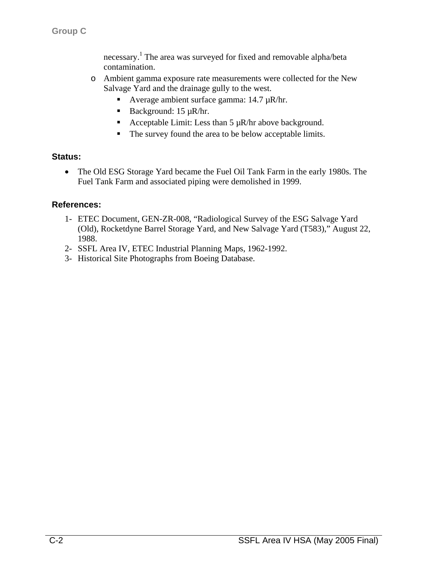necessary. 1 The area was surveyed for fixed and removable alpha/beta contamination.

- o Ambient gamma exposure rate measurements were collected for the New Salvage Yard and the drainage gully to the west.
	- Average ambient surface gamma: 14.7 µR/hr.
	- Background:  $15 \mu R/hr$ .
	- Acceptable Limit: Less than  $5 \mu R/hr$  above background.
	- The survey found the area to be below acceptable limits.

#### **Status:**

• The Old ESG Storage Yard became the Fuel Oil Tank Farm in the early 1980s. The Fuel Tank Farm and associated piping were demolished in 1999.

#### **References:**

- 1- ETEC Document, GEN-ZR-008, "Radiological Survey of the ESG Salvage Yard (Old), Rocketdyne Barrel Storage Yard, and New Salvage Yard (T583)," August 22, 1988.
- 2- SSFL Area IV, ETEC Industrial Planning Maps, 1962-1992.
- 3- Historical Site Photographs from Boeing Database.